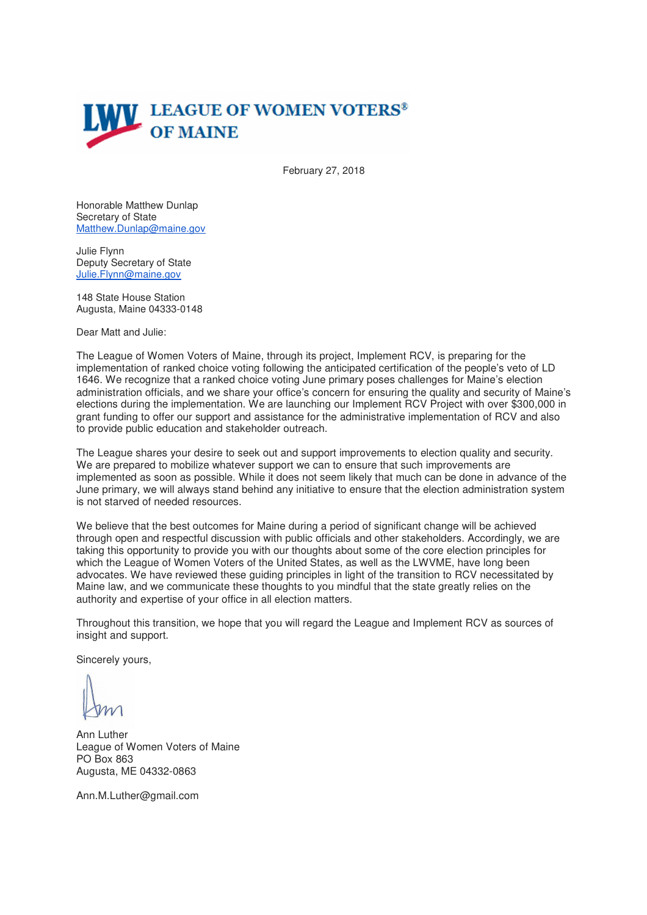

February 27, 2018

Honorable Matthew Dunlap Secretary of State Matthew.Dunlap@maine.gov

Julie Flynn Deputy Secretary of State Julie.Flynn@maine.gov

148 State House Station Augusta, Maine 04333-0148

Dear Matt and Julie:

The League of Women Voters of Maine, through its project, Implement RCV, is preparing for the implementation of ranked choice voting following the anticipated certification of the people's veto of LD 1646. We recognize that a ranked choice voting June primary poses challenges for Maine's election administration officials, and we share your office's concern for ensuring the quality and security of Maine's elections during the implementation. We are launching our Implement RCV Project with over \$300,000 in grant funding to offer our support and assistance for the administrative implementation of RCV and also to provide public education and stakeholder outreach.

The League shares your desire to seek out and support improvements to election quality and security. We are prepared to mobilize whatever support we can to ensure that such improvements are implemented as soon as possible. While it does not seem likely that much can be done in advance of the June primary, we will always stand behind any initiative to ensure that the election administration system is not starved of needed resources.

We believe that the best outcomes for Maine during a period of significant change will be achieved through open and respectful discussion with public officials and other stakeholders. Accordingly, we are taking this opportunity to provide you with our thoughts about some of the core election principles for which the League of Women Voters of the United States, as well as the LWVME, have long been advocates. We have reviewed these guiding principles in light of the transition to RCV necessitated by Maine law, and we communicate these thoughts to you mindful that the state greatly relies on the authority and expertise of your office in all election matters.

Throughout this transition, we hope that you will regard the League and Implement RCV as sources of insight and support.

Sincerely yours,

Ann Luther League of Women Voters of Maine PO Box 863 Augusta, ME 04332-0863

Ann.M.Luther@gmail.com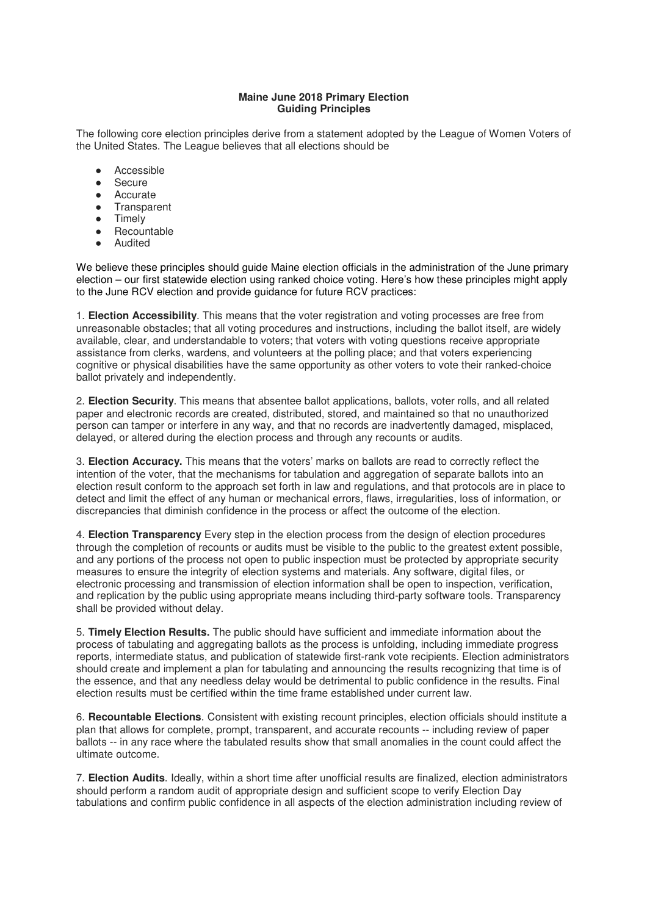## **Maine June 2018 Primary Election Guiding Principles**

The following core election principles derive from a statement adopted by the League of Women Voters of the United States. The League believes that all elections should be

- Accessible
- Secure
- Accurate<br>● Transpare
- **Transparent**
- Timely
- Recountable
- Audited

We believe these principles should guide Maine election officials in the administration of the June primary election – our first statewide election using ranked choice voting. Here's how these principles might apply to the June RCV election and provide guidance for future RCV practices:

1. **Election Accessibility**. This means that the voter registration and voting processes are free from unreasonable obstacles; that all voting procedures and instructions, including the ballot itself, are widely available, clear, and understandable to voters; that voters with voting questions receive appropriate assistance from clerks, wardens, and volunteers at the polling place; and that voters experiencing cognitive or physical disabilities have the same opportunity as other voters to vote their ranked-choice ballot privately and independently.

2. **Election Security**. This means that absentee ballot applications, ballots, voter rolls, and all related paper and electronic records are created, distributed, stored, and maintained so that no unauthorized person can tamper or interfere in any way, and that no records are inadvertently damaged, misplaced, delayed, or altered during the election process and through any recounts or audits.

3. **Election Accuracy.** This means that the voters' marks on ballots are read to correctly reflect the intention of the voter, that the mechanisms for tabulation and aggregation of separate ballots into an election result conform to the approach set forth in law and regulations, and that protocols are in place to detect and limit the effect of any human or mechanical errors, flaws, irregularities, loss of information, or discrepancies that diminish confidence in the process or affect the outcome of the election.

4. **Election Transparency** Every step in the election process from the design of election procedures through the completion of recounts or audits must be visible to the public to the greatest extent possible, and any portions of the process not open to public inspection must be protected by appropriate security measures to ensure the integrity of election systems and materials. Any software, digital files, or electronic processing and transmission of election information shall be open to inspection, verification, and replication by the public using appropriate means including third-party software tools. Transparency shall be provided without delay.

5. **Timely Election Results.** The public should have sufficient and immediate information about the process of tabulating and aggregating ballots as the process is unfolding, including immediate progress reports, intermediate status, and publication of statewide first-rank vote recipients. Election administrators should create and implement a plan for tabulating and announcing the results recognizing that time is of the essence, and that any needless delay would be detrimental to public confidence in the results. Final election results must be certified within the time frame established under current law.

6. **Recountable Elections**. Consistent with existing recount principles, election officials should institute a plan that allows for complete, prompt, transparent, and accurate recounts -- including review of paper ballots -- in any race where the tabulated results show that small anomalies in the count could affect the ultimate outcome.

7. **Election Audits**. Ideally, within a short time after unofficial results are finalized, election administrators should perform a random audit of appropriate design and sufficient scope to verify Election Day tabulations and confirm public confidence in all aspects of the election administration including review of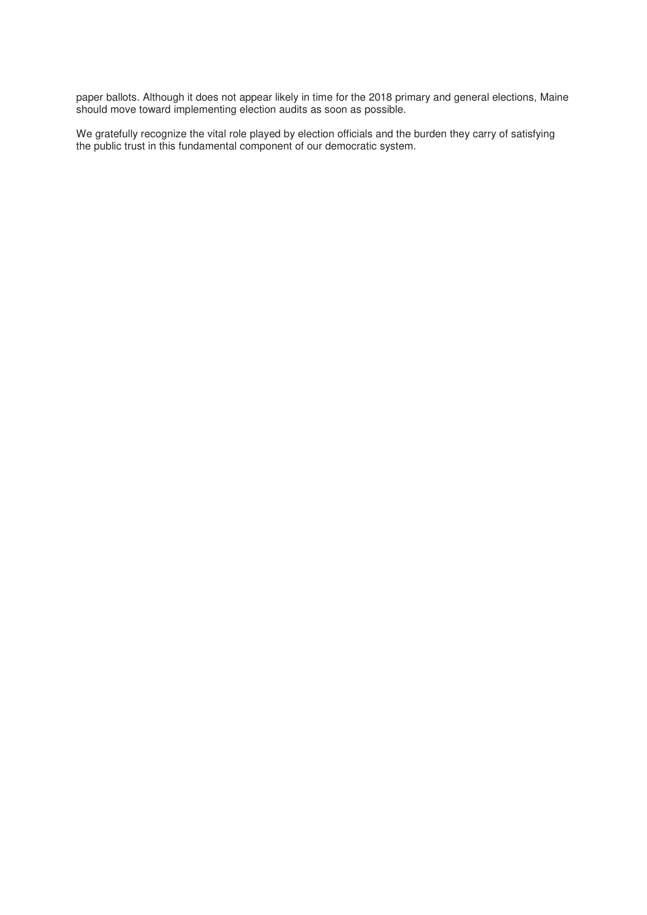paper ballots. Although it does not appear likely in time for the 2018 primary and general elections, Maine should move toward implementing election audits as soon as possible.

We gratefully recognize the vital role played by election officials and the burden they carry of satisfying the public trust in this fundamental component of our democratic system.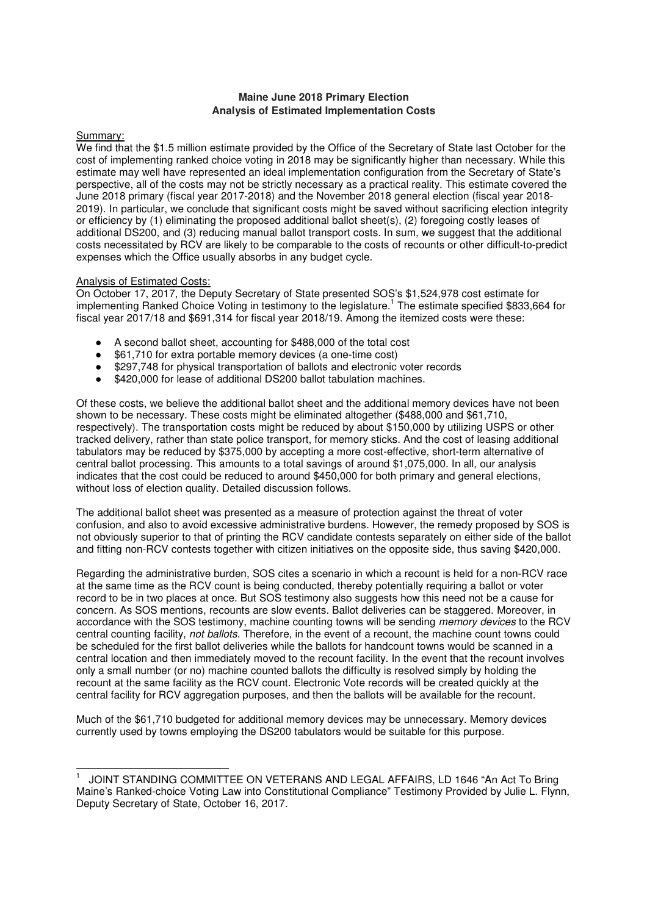## **Maine June 2018 Primary Election Analysis of Estimated Implementation Costs**

## Summary:

We find that the \$1.5 million estimate provided by the Office of the Secretary of State last October for the cost of implementing ranked choice voting in 2018 may be significantly higher than necessary. While this estimate may well have represented an ideal implementation configuration from the Secretary of State's perspective, all of the costs may not be strictly necessary as a practical reality. This estimate covered the June 2018 primary (fiscal year 2017-2018) and the November 2018 general election (fiscal year 2018- 2019). In particular, we conclude that significant costs might be saved without sacrificing election integrity or efficiency by (1) eliminating the proposed additional ballot sheet(s), (2) foregoing costly leases of additional DS200, and (3) reducing manual ballot transport costs. In sum, we suggest that the additional costs necessitated by RCV are likely to be comparable to the costs of recounts or other difficult-to-predict expenses which the Office usually absorbs in any budget cycle.

## Analysis of Estimated Costs:

On October 17, 2017, the Deputy Secretary of State presented SOS's \$1,524,978 cost estimate for implementing Ranked Choice Voting in testimony to the legislature.<sup>1</sup> The estimate specified \$833,664 for fiscal year 2017/18 and \$691,314 for fiscal year 2018/19. Among the itemized costs were these:

- A second ballot sheet, accounting for \$488,000 of the total cost
- \$61,710 for extra portable memory devices (a one-time cost)
- \$297,748 for physical transportation of ballots and electronic voter records
- \$420,000 for lease of additional DS200 ballot tabulation machines.

Of these costs, we believe the additional ballot sheet and the additional memory devices have not been shown to be necessary. These costs might be eliminated altogether (\$488,000 and \$61,710, respectively). The transportation costs might be reduced by about \$150,000 by utilizing USPS or other tracked delivery, rather than state police transport, for memory sticks. And the cost of leasing additional tabulators may be reduced by \$375,000 by accepting a more cost-effective, short-term alternative of central ballot processing. This amounts to a total savings of around \$1,075,000. In all, our analysis indicates that the cost could be reduced to around \$450,000 for both primary and general elections, without loss of election quality. Detailed discussion follows.

The additional ballot sheet was presented as a measure of protection against the threat of voter confusion, and also to avoid excessive administrative burdens. However, the remedy proposed by SOS is not obviously superior to that of printing the RCV candidate contests separately on either side of the ballot and fitting non-RCV contests together with citizen initiatives on the opposite side, thus saving \$420,000.

Regarding the administrative burden, SOS cites a scenario in which a recount is held for a non-RCV race at the same time as the RCV count is being conducted, thereby potentially requiring a ballot or voter record to be in two places at once. But SOS testimony also suggests how this need not be a cause for concern. As SOS mentions, recounts are slow events. Ballot deliveries can be staggered. Moreover, in accordance with the SOS testimony, machine counting towns will be sending memory devices to the RCV central counting facility, not ballots. Therefore, in the event of a recount, the machine count towns could be scheduled for the first ballot deliveries while the ballots for handcount towns would be scanned in a central location and then immediately moved to the recount facility. In the event that the recount involves only a small number (or no) machine counted ballots the difficulty is resolved simply by holding the recount at the same facility as the RCV count. Electronic Vote records will be created quickly at the central facility for RCV aggregation purposes, and then the ballots will be available for the recount.

Much of the \$61,710 budgeted for additional memory devices may be unnecessary. Memory devices currently used by towns employing the DS200 tabulators would be suitable for this purpose.

<sup>1</sup> 1 JOINT STANDING COMMITTEE ON VETERANS AND LEGAL AFFAIRS, LD 1646 "An Act To Bring Maine's Ranked-choice Voting Law into Constitutional Compliance" Testimony Provided by Julie L. Flynn, Deputy Secretary of State, October 16, 2017.